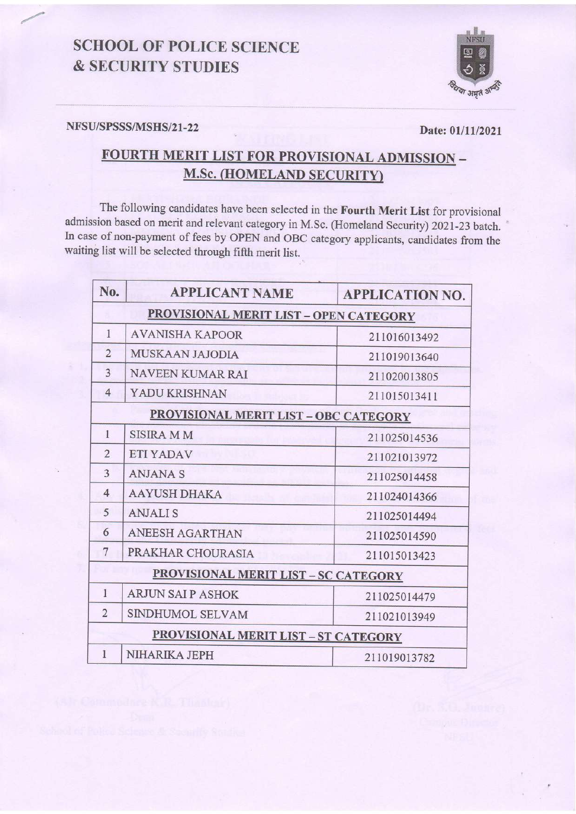## **SCHOOL OF POLICE SCIENCE & SECURITY STUDIES**



#### NFSU/SPSSS/MSHS/21-22

Date: 01/11/2021

# FOURTH MERIT LIST FOR PROVISIONAL ADMISSION -**M.Sc. (HOMELAND SECURITY)**

The following candidates have been selected in the Fourth Merit List for provisional admission based on merit and relevant category in M.Sc. (Homeland Security) 2021-23 batch. In case of non-payment of fees by OPEN and OBC category applicants, candidates from the waiting list will be selected through fifth merit list.

| No.                                           | <b>APPLICANT NAME</b>                        | <b>APPLICATION NO.</b> |  |
|-----------------------------------------------|----------------------------------------------|------------------------|--|
| <b>PROVISIONAL MERIT LIST - OPEN CATEGORY</b> |                                              |                        |  |
| 1                                             | <b>AVANISHA KAPOOR</b>                       | 211016013492           |  |
| $\overline{2}$                                | <b>MUSKAAN JAJODIA</b>                       | 211019013640           |  |
| $\overline{3}$                                | <b>NAVEEN KUMAR RAI</b>                      | 211020013805           |  |
| $\overline{4}$                                | YADU KRISHNAN                                | 211015013411           |  |
|                                               | <b>PROVISIONAL MERIT LIST - OBC CATEGORY</b> |                        |  |
| $\mathbf{1}$                                  | <b>SISIRA MM</b>                             | 211025014536           |  |
| $\overline{2}$                                | <b>ETI YADAV</b>                             | 211021013972           |  |
| $\overline{3}$                                | <b>ANJANA S</b>                              | 211025014458           |  |
| $\overline{4}$                                | <b>AAYUSH DHAKA</b>                          | 211024014366           |  |
| 5                                             | <b>ANJALIS</b>                               | 211025014494           |  |
| 6                                             | <b>ANEESH AGARTHAN</b>                       | 211025014590           |  |
| 7                                             | PRAKHAR CHOURASIA                            | 211015013423           |  |
|                                               | <b>PROVISIONAL MERIT LIST - SC CATEGORY</b>  |                        |  |
| $\mathbf{1}$                                  | <b>ARJUN SAI P ASHOK</b>                     | 211025014479           |  |
| $\overline{2}$                                | SINDHUMOL SELVAM                             | 211021013949           |  |
| <b>PROVISIONAL MERIT LIST - ST CATEGORY</b>   |                                              |                        |  |
| $\mathbf{1}$                                  | NIHARIKA JEPH                                | 211019013782           |  |